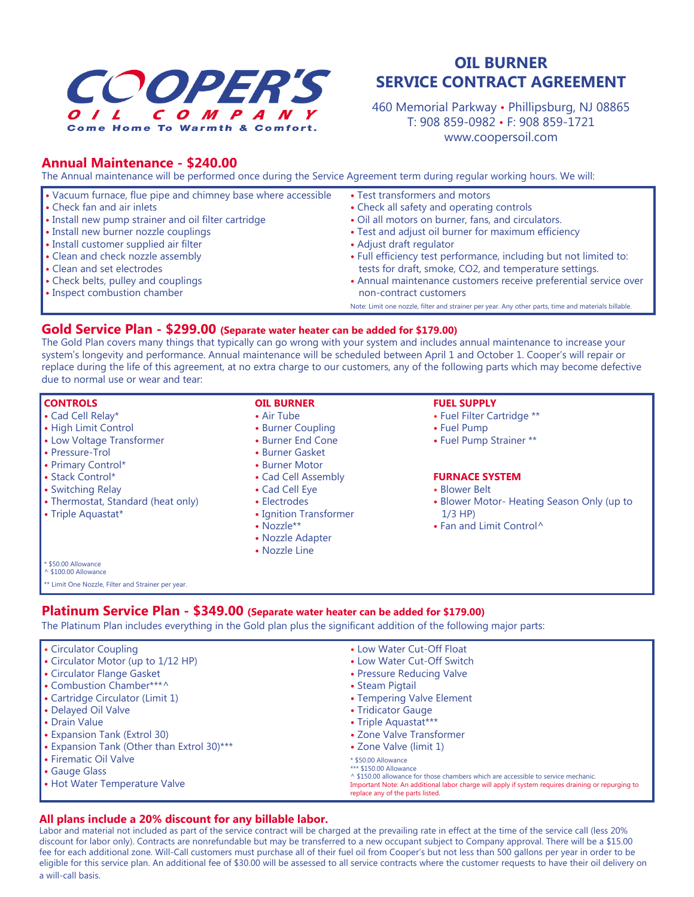

# **Annual Maintenance - \$240.00**

The Annual maintenance will be performed once during the Service Agreement term during regular working hours. We will:

| • Vacuum furnace, flue pipe and chimney base where accessible | • Test transformers and motors                                                                      |
|---------------------------------------------------------------|-----------------------------------------------------------------------------------------------------|
| • Check fan and air inlets                                    | • Check all safety and operating controls                                                           |
| • Install new pump strainer and oil filter cartridge          | • Oil all motors on burner, fans, and circulators.                                                  |
| • Install new burner nozzle couplings                         | • Test and adjust oil burner for maximum efficiency                                                 |
| • Install customer supplied air filter                        | • Adjust draft regulator                                                                            |
| • Clean and check nozzle assembly                             | . Full efficiency test performance, including but not limited to:                                   |
| • Clean and set electrodes                                    | tests for draft, smoke, CO2, and temperature settings.                                              |
| • Check belts, pulley and couplings                           | • Annual maintenance customers receive preferential service over                                    |
| • Inspect combustion chamber                                  | non-contract customers                                                                              |
|                                                               | Note: Limit one nozzle, filter and strainer per year. Any other parts, time and materials billable. |

# **Gold Service Plan - \$299.00 (Separate water heater can be added for \$179.00)**

The Gold Plan covers many things that typically can go wrong with your system and includes annual maintenance to increase your system's longevity and performance. Annual maintenance will be scheduled between April 1 and October 1. Cooper's will repair or replace during the life of this agreement, at no extra charge to our customers, any of the following parts which may become defective due to normal use or wear and tear:

| <b>CONTROLS</b>                                    | <b>OIL BURNER</b>      | <b>FUEL SUPPLY</b>                         |
|----------------------------------------------------|------------------------|--------------------------------------------|
| • Cad Cell Relay*                                  | • Air Tube             | • Fuel Filter Cartridge **                 |
| • High Limit Control                               | • Burner Coupling      | • Fuel Pump                                |
| • Low Voltage Transformer                          | • Burner End Cone      | • Fuel Pump Strainer **                    |
| • Pressure-Trol                                    | • Burner Gasket        |                                            |
| • Primary Control*                                 | • Burner Motor         |                                            |
| • Stack Control*                                   | • Cad Cell Assembly    | <b>FURNACE SYSTEM</b>                      |
| • Switching Relay                                  | • Cad Cell Eye         | • Blower Belt                              |
| • Thermostat, Standard (heat only)                 | • Electrodes           | • Blower Motor- Heating Season Only (up to |
| • Triple Aquastat*                                 | • Ignition Transformer | $1/3$ HP)                                  |
|                                                    | $\bullet$ Nozzle**     | • Fan and Limit Control <sup>^</sup>       |
|                                                    | • Nozzle Adapter       |                                            |
|                                                    | • Nozzle Line          |                                            |
| * \$50.00 Allowance<br>^ \$100.00 Allowance        |                        |                                            |
| ** Limit One Nozzle, Filter and Strainer per year. |                        |                                            |
|                                                    |                        |                                            |

## **Platinum Service Plan - \$349.00 (Separate water heater can be added for \$179.00)**

The Platinum Plan includes everything in the Gold plan plus the significant addition of the following major parts:

| <b>Circulator Coupling</b>                                                     | • Low Water Cut-Off Float                                                                                                                                                                                                                                                   |
|--------------------------------------------------------------------------------|-----------------------------------------------------------------------------------------------------------------------------------------------------------------------------------------------------------------------------------------------------------------------------|
| • Circulator Motor (up to 1/12 HP)                                             | • Low Water Cut-Off Switch                                                                                                                                                                                                                                                  |
| <b>Circulator Flange Gasket</b>                                                | • Pressure Reducing Valve                                                                                                                                                                                                                                                   |
| • Combustion Chamber***^                                                       | • Steam Pigtail                                                                                                                                                                                                                                                             |
| • Cartridge Circulator (Limit 1)                                               | • Tempering Valve Element                                                                                                                                                                                                                                                   |
| • Delayed Oil Valve                                                            | • Tridicator Gauge                                                                                                                                                                                                                                                          |
| <b>I</b> • Drain Value                                                         | • Triple Aquastat***                                                                                                                                                                                                                                                        |
| <b>Expansion Tank (Extrol 30)</b>                                              | • Zone Valve Transformer                                                                                                                                                                                                                                                    |
| • Expansion Tank (Other than Extrol 30)***                                     | • Zone Valve (limit 1)                                                                                                                                                                                                                                                      |
| <b>I</b> • Firematic Oil Valve<br>Gauge Glass<br>• Hot Water Temperature Valve | * \$50.00 Allowance<br>*** \$150.00 Allowance<br>↑ \$150.00 allowance for those chambers which are accessible to service mechanic.<br>Important Note: An additional labor charge will apply if system requires draining or repurging to<br>replace any of the parts listed. |

## **All plans include a 20% discount for any billable labor.**

Labor and material not included as part of the service contract will be charged at the prevailing rate in effect at the time of the service call (less 20% discount for labor only). Contracts are nonrefundable but may be transferred to a new occupant subject to Company approval. There will be a \$15.00 fee for each additional zone. Will-Call customers must purchase all of their fuel oil from Cooper's but not less than 500 gallons per year in order to be eligible for this service plan. An additional fee of \$30.00 will be assessed to all service contracts where the customer requests to have their oil delivery on a will-call basis.

# **OIL BURNER SERVICE CONTRACT AGREEMENT**

460 Memorial Parkway • Phillipsburg, NJ 08865 T: 908 859-0982 • F: 908 859-1721 www.coopersoil.com